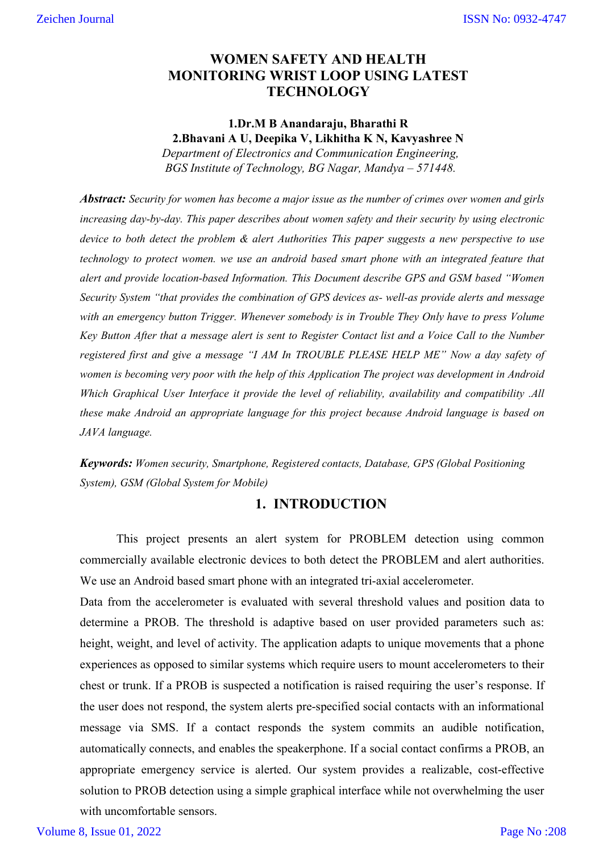## **WOMEN SAFETY AND HEALTH MONITORING WRIST LOOP USING LATEST TECHNOLOGY**

**1.Dr.M B Anandaraju, Bharathi R 2.Bhavani A U, Deepika V, Likhitha K N, Kavyashree N** *Department of Electronics and Communication Engineering, BGS Institute of Technology, BG Nagar, Mandya – 571448.*

*Abstract: Security for women has become a major issue as the number of crimes over women and girls increasing day-by-day. This paper describes about women safety and their security by using electronic device to both detect the problem & alert Authorities This paper suggests a new perspective to use technology to protect women. we use an android based smart phone with an integrated feature that alert and provide location-based Information. This Document describe GPS and GSM based "Women Security System "that provides the combination of GPS devices as- well-as provide alerts and message with an emergency button Trigger. Whenever somebody is in Trouble They Only have to press Volume Key Button After that a message alert is sent to Register Contact list and a Voice Call to the Number registered first and give a message "I AM In TROUBLE PLEASE HELP ME" Now a day safety of women is becoming very poor with the help of this Application The project was development in Android Which Graphical User Interface it provide the level of reliability, availability and compatibility .All these make Android an appropriate language for this project because Android language is based on JAVA language.* 

*Keywords: Women security, Smartphone, Registered contacts, Database, GPS (Global Positioning System), GSM (Global System for Mobile)* 

## **1. INTRODUCTION**

This project presents an alert system for PROBLEM detection using common commercially available electronic devices to both detect the PROBLEM and alert authorities. We use an Android based smart phone with an integrated tri-axial accelerometer.

Data from the accelerometer is evaluated with several threshold values and position data to determine a PROB. The threshold is adaptive based on user provided parameters such as: height, weight, and level of activity. The application adapts to unique movements that a phone experiences as opposed to similar systems which require users to mount accelerometers to their chest or trunk. If a PROB is suspected a notification is raised requiring the user's response. If the user does not respond, the system alerts pre-specified social contacts with an informational message via SMS. If a contact responds the system commits an audible notification, automatically connects, and enables the speakerphone. If a social contact confirms a PROB, an appropriate emergency service is alerted. Our system provides a realizable, cost-effective solution to PROB detection using a simple graphical interface while not overwhelming the user with uncomfortable sensors.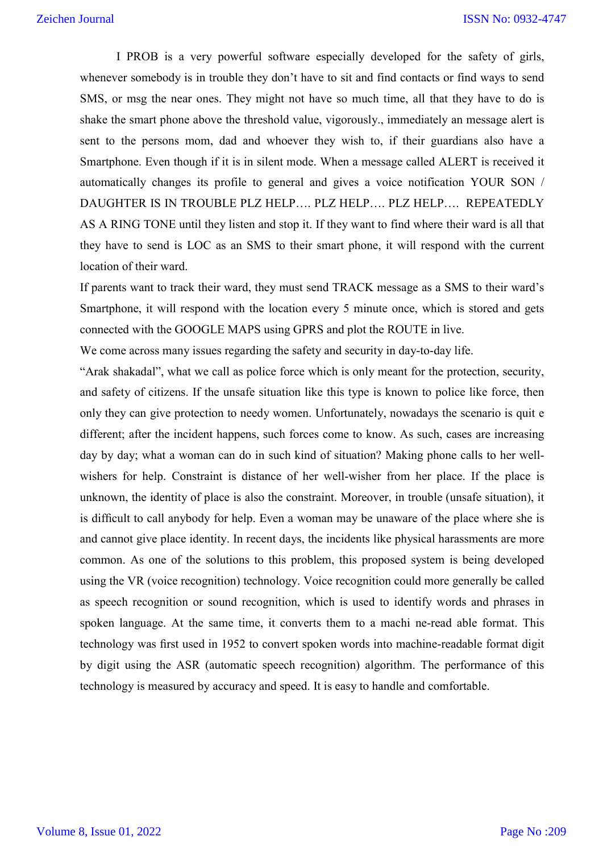I PROB is a very powerful software especially developed for the safety of girls, whenever somebody is in trouble they don't have to sit and find contacts or find ways to send SMS, or msg the near ones. They might not have so much time, all that they have to do is shake the smart phone above the threshold value, vigorously., immediately an message alert is sent to the persons mom, dad and whoever they wish to, if their guardians also have a Smartphone. Even though if it is in silent mode. When a message called ALERT is received it automatically changes its profile to general and gives a voice notification YOUR SON / DAUGHTER IS IN TROUBLE PLZ HELP…. PLZ HELP…. PLZ HELP…. REPEATEDLY AS A RING TONE until they listen and stop it. If they want to find where their ward is all that they have to send is LOC as an SMS to their smart phone, it will respond with the current location of their ward.

If parents want to track their ward, they must send TRACK message as a SMS to their ward's Smartphone, it will respond with the location every 5 minute once, which is stored and gets connected with the GOOGLE MAPS using GPRS and plot the ROUTE in live.

We come across many issues regarding the safety and security in day-to-day life.

"Arak shakadal", what we call as police force which is only meant for the protection, security, and safety of citizens. If the unsafe situation like this type is known to police like force, then only they can give protection to needy women. Unfortunately, nowadays the scenario is quit e different; after the incident happens, such forces come to know. As such, cases are increasing day by day; what a woman can do in such kind of situation? Making phone calls to her wellwishers for help. Constraint is distance of her well-wisher from her place. If the place is unknown, the identity of place is also the constraint. Moreover, in trouble (unsafe situation), it is difficult to call anybody for help. Even a woman may be unaware of the place where she is and cannot give place identity. In recent days, the incidents like physical harassments are more common. As one of the solutions to this problem, this proposed system is being developed using the VR (voice recognition) technology. Voice recognition could more generally be called as speech recognition or sound recognition, which is used to identify words and phrases in spoken language. At the same time, it converts them to a machi ne-read able format. This technology was first used in 1952 to convert spoken words into machine-readable format digit by digit using the ASR (automatic speech recognition) algorithm. The performance of this technology is measured by accuracy and speed. It is easy to handle and comfortable.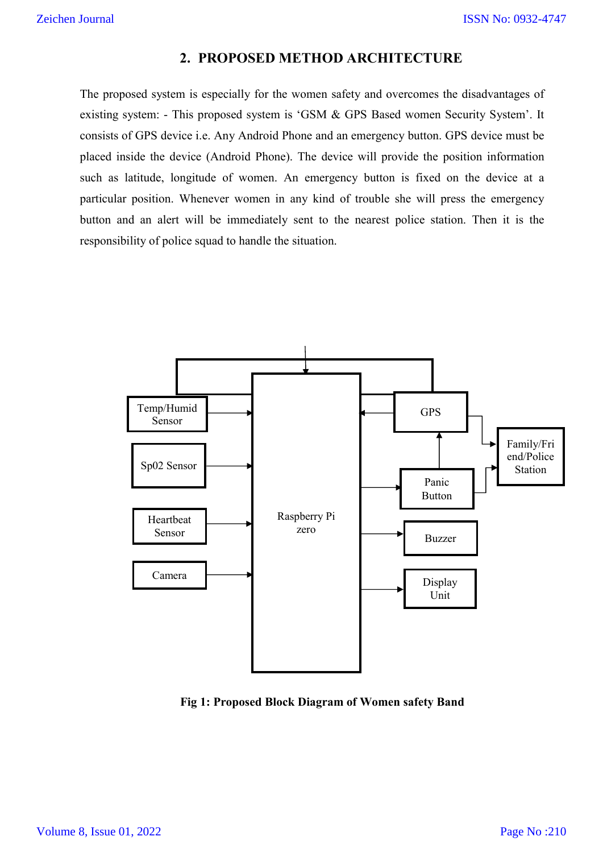## **2. PROPOSED METHOD ARCHITECTURE**

The proposed system is especially for the women safety and overcomes the disadvantages of existing system: - This proposed system is 'GSM & GPS Based women Security System'. It consists of GPS device i.e. Any Android Phone and an emergency button. GPS device must be placed inside the device (Android Phone). The device will provide the position information such as latitude, longitude of women. An emergency button is fixed on the device at a particular position. Whenever women in any kind of trouble she will press the emergency button and an alert will be immediately sent to the nearest police station. Then it is the responsibility of police squad to handle the situation.



 **Fig 1: Proposed Block Diagram of Women safety Band**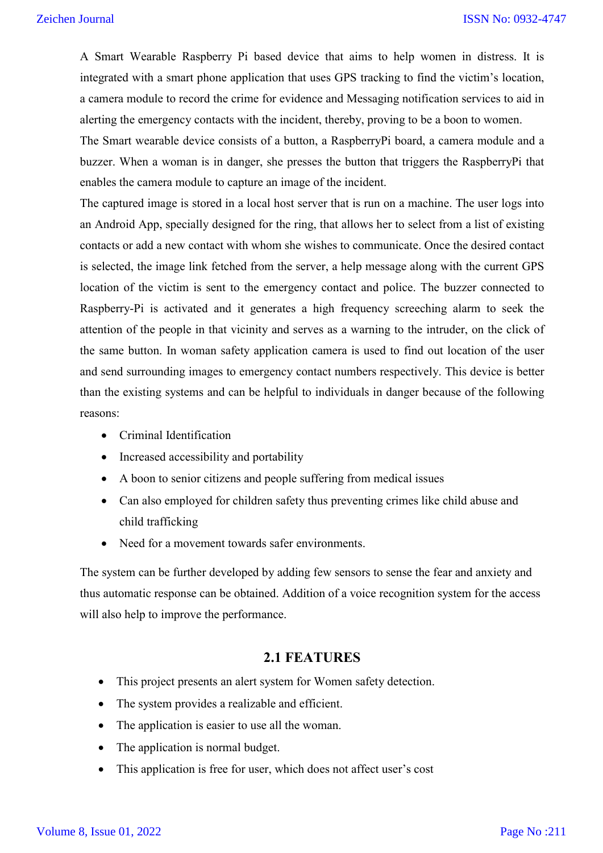A Smart Wearable Raspberry Pi based device that aims to help women in distress. It is integrated with a smart phone application that uses GPS tracking to find the victim's location, a camera module to record the crime for evidence and Messaging notification services to aid in alerting the emergency contacts with the incident, thereby, proving to be a boon to women.

The Smart wearable device consists of a button, a RaspberryPi board, a camera module and a buzzer. When a woman is in danger, she presses the button that triggers the RaspberryPi that enables the camera module to capture an image of the incident.

The captured image is stored in a local host server that is run on a machine. The user logs into an Android App, specially designed for the ring, that allows her to select from a list of existing contacts or add a new contact with whom she wishes to communicate. Once the desired contact is selected, the image link fetched from the server, a help message along with the current GPS location of the victim is sent to the emergency contact and police. The buzzer connected to Raspberry-Pi is activated and it generates a high frequency screeching alarm to seek the attention of the people in that vicinity and serves as a warning to the intruder, on the click of the same button. In woman safety application camera is used to find out location of the user and send surrounding images to emergency contact numbers respectively. This device is better than the existing systems and can be helpful to individuals in danger because of the following reasons:

- Criminal Identification
- Increased accessibility and portability
- A boon to senior citizens and people suffering from medical issues
- Can also employed for children safety thus preventing crimes like child abuse and child trafficking
- Need for a movement towards safer environments.

The system can be further developed by adding few sensors to sense the fear and anxiety and thus automatic response can be obtained. Addition of a voice recognition system for the access will also help to improve the performance.

## **2.1 FEATURES**

- This project presents an alert system for Women safety detection.
- The system provides a realizable and efficient.
- The application is easier to use all the woman.
- The application is normal budget.
- This application is free for user, which does not affect user's cost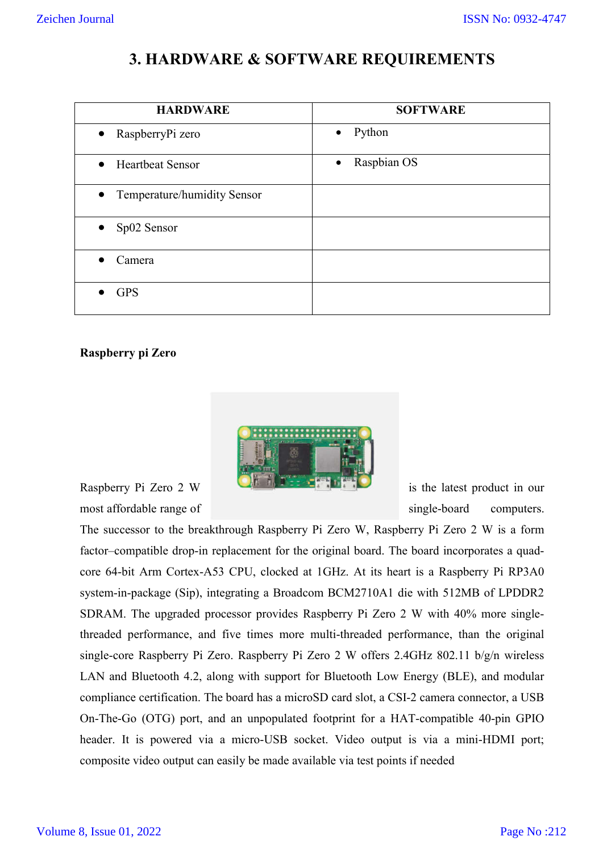# **3. HARDWARE & SOFTWARE REQUIREMENTS**

| <b>HARDWARE</b>                          | <b>SOFTWARE</b>          |
|------------------------------------------|--------------------------|
| RaspberryPi zero<br>$\bullet$            | Python<br>$\bullet$      |
| <b>Heartbeat Sensor</b><br>$\bullet$     | Raspbian OS<br>$\bullet$ |
| Temperature/humidity Sensor<br>$\bullet$ |                          |
| Sp02 Sensor<br>$\bullet$                 |                          |
| Camera                                   |                          |
| <b>GPS</b>                               |                          |

### **Raspberry pi Zero**



most affordable range of single-board computers.

The successor to the breakthrough Raspberry Pi Zero W, Raspberry Pi Zero 2 W is a form factor–compatible drop-in replacement for the original board. The board incorporates a quadcore 64-bit Arm Cortex-A53 CPU, clocked at 1GHz. At its heart is a Raspberry Pi RP3A0 system-in-package (Sip), integrating a Broadcom BCM2710A1 die with 512MB of LPDDR2 SDRAM. The upgraded processor provides Raspberry Pi Zero 2 W with 40% more singlethreaded performance, and five times more multi-threaded performance, than the original single-core Raspberry Pi Zero. Raspberry Pi Zero 2 W offers 2.4GHz 802.11 b/g/n wireless LAN and Bluetooth 4.2, along with support for Bluetooth Low Energy (BLE), and modular compliance certification. The board has a microSD card slot, a CSI-2 camera connector, a USB On-The-Go (OTG) port, and an unpopulated footprint for a HAT-compatible 40-pin GPIO header. It is powered via a micro-USB socket. Video output is via a mini-HDMI port; composite video output can easily be made available via test points if needed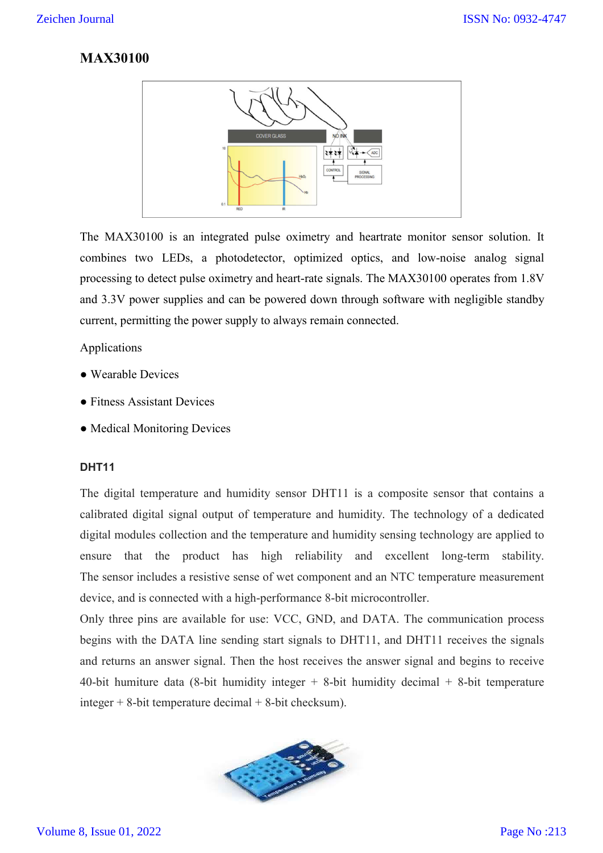## **MAX30100**



The MAX30100 is an integrated pulse oximetry and heartrate monitor sensor solution. It combines two LEDs, a photodetector, optimized optics, and low-noise analog signal processing to detect pulse oximetry and heart-rate signals. The MAX30100 operates from 1.8V and 3.3V power supplies and can be powered down through software with negligible standby current, permitting the power supply to always remain connected.

Applications

- Wearable Devices
- Fitness Assistant Devices
- Medical Monitoring Devices

#### **DHT11**

The digital temperature and humidity sensor DHT11 is a composite sensor that contains a calibrated digital signal output of temperature and humidity. The technology of a dedicated digital modules collection and the temperature and humidity sensing technology are applied to ensure that the product has high reliability and excellent long-term stability. The sensor includes a resistive sense of wet component and an NTC temperature measurement device, and is connected with a high-performance 8-bit microcontroller.

Only three pins are available for use: VCC, GND, and DATA. The communication process begins with the DATA line sending start signals to DHT11, and DHT11 receives the signals and returns an answer signal. Then the host receives the answer signal and begins to receive 40-bit humiture data (8-bit humidity integer  $+$  8-bit humidity decimal  $+$  8-bit temperature integer  $+$  8-bit temperature decimal  $+$  8-bit checksum).

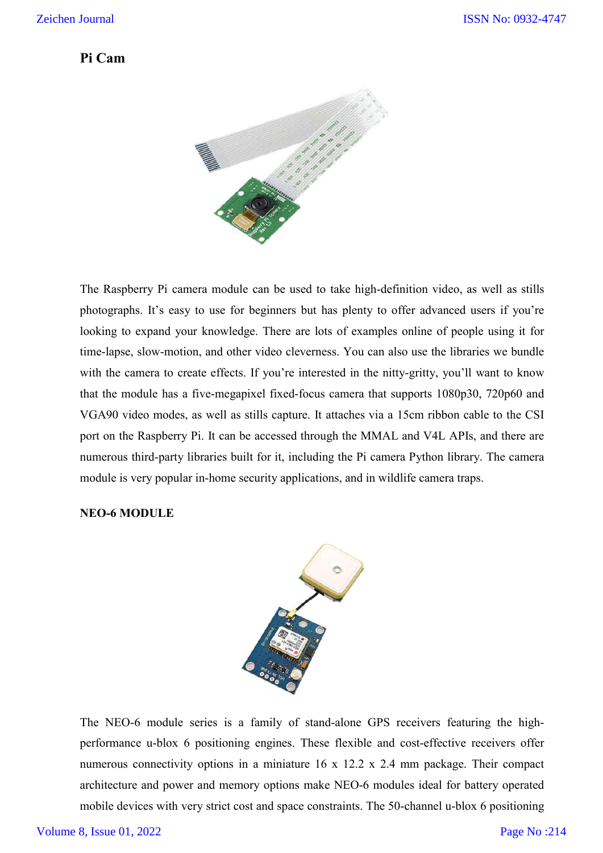## **Pi Cam**



The Raspberry Pi camera module can be used to take high-definition video, as well as stills photographs. It's easy to use for beginners but has plenty to offer advanced users if you're looking to expand your knowledge. There are lots of examples online of people using it for time-lapse, slow-motion, and other video cleverness. You can also use the libraries we bundle with the camera to create effects. If you're interested in the nitty-gritty, you'll want to know that the module has a five-megapixel fixed-focus camera that supports 1080p30, 720p60 and VGA90 video modes, as well as stills capture. It attaches via a 15cm ribbon cable to the CSI port on the Raspberry Pi. It can be accessed through the MMAL and V4L APIs, and there are numerous third-party libraries built for it, including the Pi camera Python library. The camera module is very popular in-home security applications, and in wildlife camera traps.

#### **NEO-6 MODULE**



The NEO-6 module series is a family of stand-alone GPS receivers featuring the highperformance u-blox 6 positioning engines. These flexible and cost-effective receivers offer numerous connectivity options in a miniature 16 x 12.2 x 2.4 mm package. Their compact architecture and power and memory options make NEO-6 modules ideal for battery operated mobile devices with very strict cost and space constraints. The 50-channel u-blox 6 positioning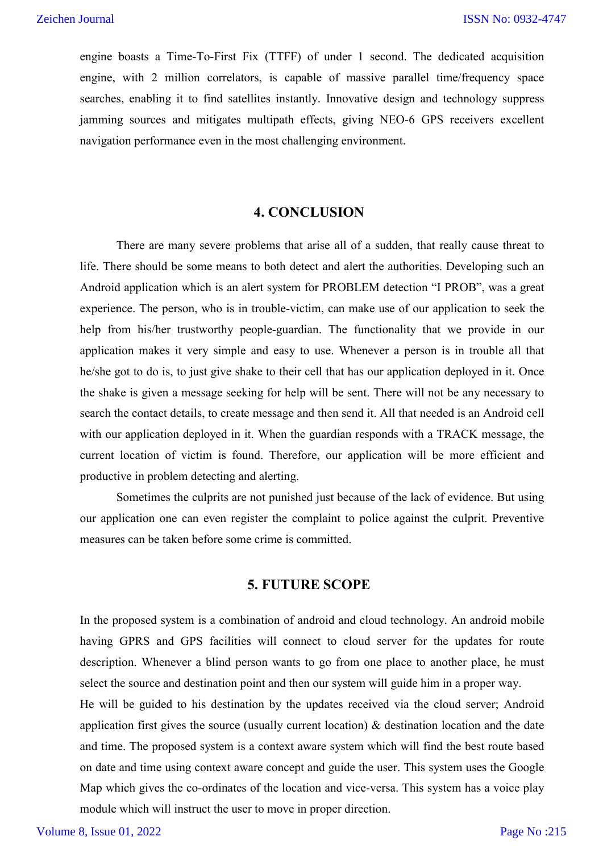engine boasts a Time-To-First Fix (TTFF) of under 1 second. The dedicated acquisition engine, with 2 million correlators, is capable of massive parallel time/frequency space searches, enabling it to find satellites instantly. Innovative design and technology suppress jamming sources and mitigates multipath effects, giving NEO-6 GPS receivers excellent navigation performance even in the most challenging environment.

## **4. CONCLUSION**

There are many severe problems that arise all of a sudden, that really cause threat to life. There should be some means to both detect and alert the authorities. Developing such an Android application which is an alert system for PROBLEM detection "I PROB", was a great experience. The person, who is in trouble-victim, can make use of our application to seek the help from his/her trustworthy people-guardian. The functionality that we provide in our application makes it very simple and easy to use. Whenever a person is in trouble all that he/she got to do is, to just give shake to their cell that has our application deployed in it. Once the shake is given a message seeking for help will be sent. There will not be any necessary to search the contact details, to create message and then send it. All that needed is an Android cell with our application deployed in it. When the guardian responds with a TRACK message, the current location of victim is found. Therefore, our application will be more efficient and productive in problem detecting and alerting.

Sometimes the culprits are not punished just because of the lack of evidence. But using our application one can even register the complaint to police against the culprit. Preventive measures can be taken before some crime is committed.

## **5. FUTURE SCOPE**

In the proposed system is a combination of android and cloud technology. An android mobile having GPRS and GPS facilities will connect to cloud server for the updates for route description. Whenever a blind person wants to go from one place to another place, he must select the source and destination point and then our system will guide him in a proper way.

He will be guided to his destination by the updates received via the cloud server; Android application first gives the source (usually current location) & destination location and the date and time. The proposed system is a context aware system which will find the best route based on date and time using context aware concept and guide the user. This system uses the Google Map which gives the co-ordinates of the location and vice-versa. This system has a voice play module which will instruct the user to move in proper direction.

Volume 8, Issue 01, 2022